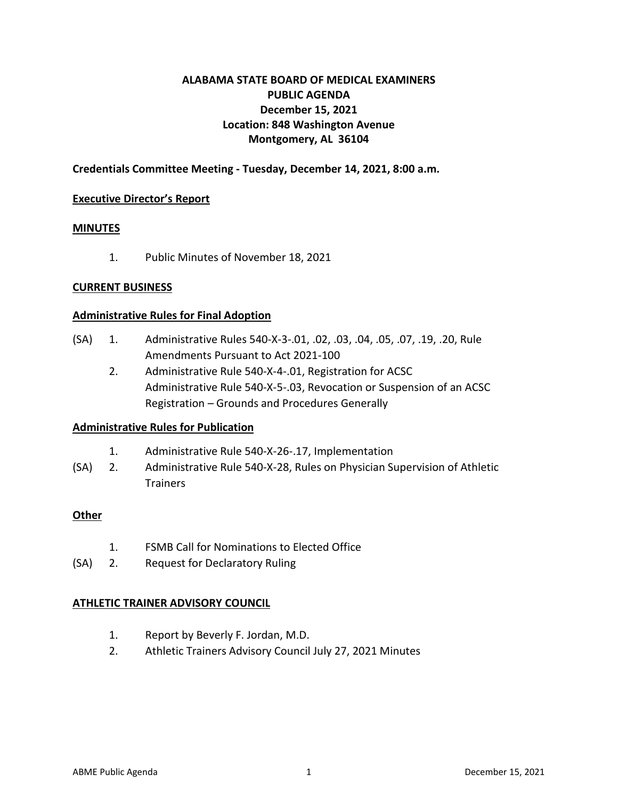## **ALABAMA STATE BOARD OF MEDICAL EXAMINERS PUBLIC AGENDA December 15, 2021 Location: 848 Washington Avenue Montgomery, AL 36104**

### **Credentials Committee Meeting - Tuesday, December 14, 2021, 8:00 a.m.**

### **Executive Director's Report**

### **MINUTES**

1. Public Minutes of November 18, 2021

### **CURRENT BUSINESS**

### **Administrative Rules for Final Adoption**

- (SA) 1. Administrative Rules 540-X-3-.01, .02, .03, .04, .05, .07, .19, .20, Rule Amendments Pursuant to Act 2021-100
	- 2. Administrative Rule 540-X-4-.01, Registration for ACSC Administrative Rule 540-X-5-.03, Revocation or Suspension of an ACSC Registration – Grounds and Procedures Generally

### **Administrative Rules for Publication**

- 1. Administrative Rule 540-X-26-.17, Implementation
- (SA) 2. Administrative Rule 540-X-28, Rules on Physician Supervision of Athletic **Trainers**

### **Other**

- 1. FSMB Call for Nominations to Elected Office
- (SA) 2. Request for Declaratory Ruling

### **ATHLETIC TRAINER ADVISORY COUNCIL**

- 1. Report by Beverly F. Jordan, M.D.
- 2. Athletic Trainers Advisory Council July 27, 2021 Minutes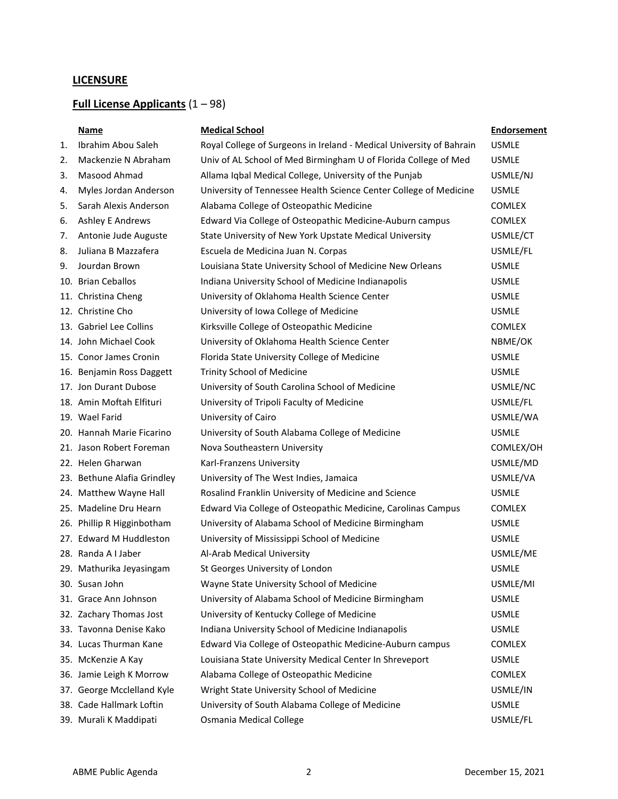## **LICENSURE**

## **Full License Applicants** (1 – 98)

|    | Name                        | <b>Medical School</b>                                                | <b>Endorsement</b> |
|----|-----------------------------|----------------------------------------------------------------------|--------------------|
| 1. | Ibrahim Abou Saleh          | Royal College of Surgeons in Ireland - Medical University of Bahrain | <b>USMLE</b>       |
| 2. | Mackenzie N Abraham         | Univ of AL School of Med Birmingham U of Florida College of Med      | <b>USMLE</b>       |
| 3. | Masood Ahmad                | Allama Iqbal Medical College, University of the Punjab               | USMLE/NJ           |
| 4. | Myles Jordan Anderson       | University of Tennessee Health Science Center College of Medicine    | <b>USMLE</b>       |
| 5. | Sarah Alexis Anderson       | Alabama College of Osteopathic Medicine                              | <b>COMLEX</b>      |
| 6. | <b>Ashley E Andrews</b>     | Edward Via College of Osteopathic Medicine-Auburn campus             | <b>COMLEX</b>      |
| 7. | Antonie Jude Auguste        | State University of New York Upstate Medical University              | USMLE/CT           |
| 8. | Juliana B Mazzafera         | Escuela de Medicina Juan N. Corpas                                   | USMLE/FL           |
| 9. | Jourdan Brown               | Louisiana State University School of Medicine New Orleans            | <b>USMLE</b>       |
|    | 10. Brian Ceballos          | Indiana University School of Medicine Indianapolis                   | <b>USMLE</b>       |
|    | 11. Christina Cheng         | University of Oklahoma Health Science Center                         | <b>USMLE</b>       |
|    | 12. Christine Cho           | University of Iowa College of Medicine                               | <b>USMLE</b>       |
|    | 13. Gabriel Lee Collins     | Kirksville College of Osteopathic Medicine                           | <b>COMLEX</b>      |
|    | 14. John Michael Cook       | University of Oklahoma Health Science Center                         | NBME/OK            |
|    | 15. Conor James Cronin      | Florida State University College of Medicine                         | <b>USMLE</b>       |
|    | 16. Benjamin Ross Daggett   | <b>Trinity School of Medicine</b>                                    | <b>USMLE</b>       |
|    | 17. Jon Durant Dubose       | University of South Carolina School of Medicine                      | USMLE/NC           |
|    | 18. Amin Moftah Elfituri    | University of Tripoli Faculty of Medicine                            | USMLE/FL           |
|    | 19. Wael Farid              | University of Cairo                                                  | USMLE/WA           |
|    | 20. Hannah Marie Ficarino   | University of South Alabama College of Medicine                      | <b>USMLE</b>       |
|    | 21. Jason Robert Foreman    | Nova Southeastern University                                         | COMLEX/OH          |
|    | 22. Helen Gharwan           | Karl-Franzens University                                             | USMLE/MD           |
|    | 23. Bethune Alafia Grindley | University of The West Indies, Jamaica                               | USMLE/VA           |
|    | 24. Matthew Wayne Hall      | Rosalind Franklin University of Medicine and Science                 | <b>USMLE</b>       |
|    | 25. Madeline Dru Hearn      | Edward Via College of Osteopathic Medicine, Carolinas Campus         | COMLEX             |
|    | 26. Phillip R Higginbotham  | University of Alabama School of Medicine Birmingham                  | <b>USMLE</b>       |
|    | 27. Edward M Huddleston     | University of Mississippi School of Medicine                         | <b>USMLE</b>       |
|    | 28. Randa A I Jaber         | Al-Arab Medical University                                           | USMLE/ME           |
|    | 29. Mathurika Jeyasingam    | St Georges University of London                                      | <b>USMLE</b>       |
|    | 30. Susan John              | Wayne State University School of Medicine                            | USMLE/MI           |
|    | 31. Grace Ann Johnson       | University of Alabama School of Medicine Birmingham                  | <b>USMLE</b>       |
|    | 32. Zachary Thomas Jost     | University of Kentucky College of Medicine                           | <b>USMLE</b>       |
|    | 33. Tavonna Denise Kako     | Indiana University School of Medicine Indianapolis                   | <b>USMLE</b>       |
|    | 34. Lucas Thurman Kane      | Edward Via College of Osteopathic Medicine-Auburn campus             | <b>COMLEX</b>      |
|    | 35. McKenzie A Kay          | Louisiana State University Medical Center In Shreveport              | <b>USMLE</b>       |
|    | 36. Jamie Leigh K Morrow    | Alabama College of Osteopathic Medicine                              | <b>COMLEX</b>      |
|    | 37. George Mcclelland Kyle  | Wright State University School of Medicine                           | USMLE/IN           |
|    | 38. Cade Hallmark Loftin    | University of South Alabama College of Medicine                      | <b>USMLE</b>       |
|    | 39. Murali K Maddipati      | Osmania Medical College                                              | USMLE/FL           |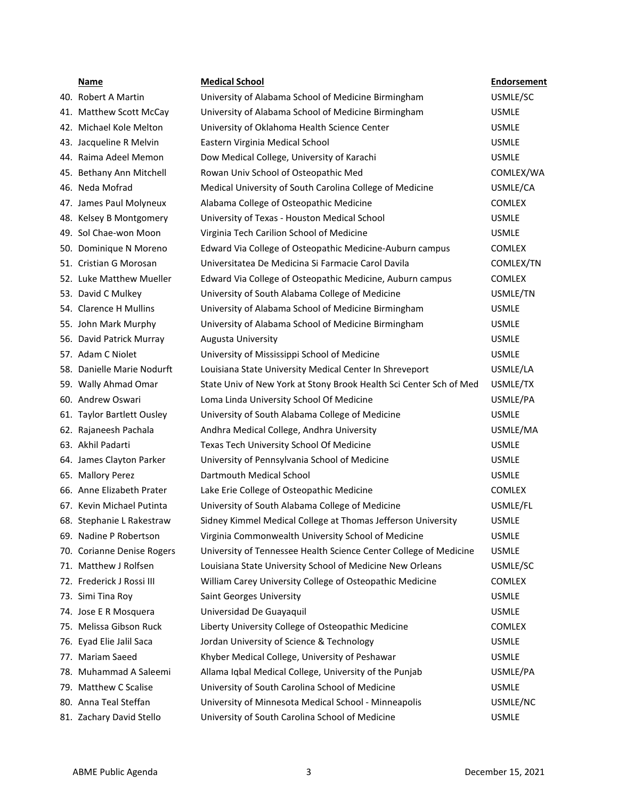| Name                       | <b>Medical School</b>                                              | <b>Endorsement</b> |
|----------------------------|--------------------------------------------------------------------|--------------------|
| 40. Robert A Martin        | University of Alabama School of Medicine Birmingham                | USMLE/SC           |
| 41. Matthew Scott McCay    | University of Alabama School of Medicine Birmingham                | <b>USMLE</b>       |
| 42. Michael Kole Melton    | University of Oklahoma Health Science Center                       | <b>USMLE</b>       |
| 43. Jacqueline R Melvin    | Eastern Virginia Medical School                                    | <b>USMLE</b>       |
| 44. Raima Adeel Memon      | Dow Medical College, University of Karachi                         | <b>USMLE</b>       |
| 45. Bethany Ann Mitchell   | Rowan Univ School of Osteopathic Med                               | COMLEX/WA          |
| 46. Neda Mofrad            | Medical University of South Carolina College of Medicine           | USMLE/CA           |
| 47. James Paul Molyneux    | Alabama College of Osteopathic Medicine                            | <b>COMLEX</b>      |
| 48. Kelsey B Montgomery    | University of Texas - Houston Medical School                       | <b>USMLE</b>       |
| 49. Sol Chae-won Moon      | Virginia Tech Carilion School of Medicine                          | <b>USMLE</b>       |
| 50. Dominique N Moreno     | Edward Via College of Osteopathic Medicine-Auburn campus           | <b>COMLEX</b>      |
| 51. Cristian G Morosan     | Universitatea De Medicina Si Farmacie Carol Davila                 | COMLEX/TN          |
| 52. Luke Matthew Mueller   | Edward Via College of Osteopathic Medicine, Auburn campus          | <b>COMLEX</b>      |
| 53. David C Mulkey         | University of South Alabama College of Medicine                    | USMLE/TN           |
| 54. Clarence H Mullins     | University of Alabama School of Medicine Birmingham                | <b>USMLE</b>       |
| 55. John Mark Murphy       | University of Alabama School of Medicine Birmingham                | <b>USMLE</b>       |
| 56. David Patrick Murray   | Augusta University                                                 | <b>USMLE</b>       |
| 57. Adam C Niolet          | University of Mississippi School of Medicine                       | <b>USMLE</b>       |
| 58. Danielle Marie Nodurft | Louisiana State University Medical Center In Shreveport            | USMLE/LA           |
| 59. Wally Ahmad Omar       | State Univ of New York at Stony Brook Health Sci Center Sch of Med | USMLE/TX           |
| 60. Andrew Oswari          | Loma Linda University School Of Medicine                           | USMLE/PA           |
| 61. Taylor Bartlett Ousley | University of South Alabama College of Medicine                    | <b>USMLE</b>       |
| 62. Rajaneesh Pachala      | Andhra Medical College, Andhra University                          | USMLE/MA           |
| 63. Akhil Padarti          | Texas Tech University School Of Medicine                           | <b>USMLE</b>       |
| 64. James Clayton Parker   | University of Pennsylvania School of Medicine                      | <b>USMLE</b>       |
| 65. Mallory Perez          | Dartmouth Medical School                                           | <b>USMLE</b>       |
| 66. Anne Elizabeth Prater  | Lake Erie College of Osteopathic Medicine                          | <b>COMLEX</b>      |
| 67. Kevin Michael Putinta  | University of South Alabama College of Medicine                    | USMLE/FL           |
| 68. Stephanie L Rakestraw  | Sidney Kimmel Medical College at Thomas Jefferson University       | <b>USMLE</b>       |
| 69. Nadine P Robertson     | Virginia Commonwealth University School of Medicine                | <b>USMLE</b>       |
| 70. Corianne Denise Rogers | University of Tennessee Health Science Center College of Medicine  | <b>USMLE</b>       |
| 71. Matthew J Rolfsen      | Louisiana State University School of Medicine New Orleans          | USMLE/SC           |
| 72. Frederick J Rossi III  | William Carey University College of Osteopathic Medicine           | <b>COMLEX</b>      |
| 73. Simi Tina Roy          | Saint Georges University                                           | <b>USMLE</b>       |
| 74. Jose E R Mosquera      | Universidad De Guayaquil                                           | <b>USMLE</b>       |
| 75. Melissa Gibson Ruck    | Liberty University College of Osteopathic Medicine                 | <b>COMLEX</b>      |
| 76. Eyad Elie Jalil Saca   | Jordan University of Science & Technology                          | <b>USMLE</b>       |
| 77. Mariam Saeed           | Khyber Medical College, University of Peshawar                     | <b>USMLE</b>       |
| 78. Muhammad A Saleemi     | Allama Iqbal Medical College, University of the Punjab             | USMLE/PA           |
| 79. Matthew C Scalise      | University of South Carolina School of Medicine                    | <b>USMLE</b>       |
| 80. Anna Teal Steffan      | University of Minnesota Medical School - Minneapolis               | USMLE/NC           |
| 81. Zachary David Stello   | University of South Carolina School of Medicine                    | <b>USMLE</b>       |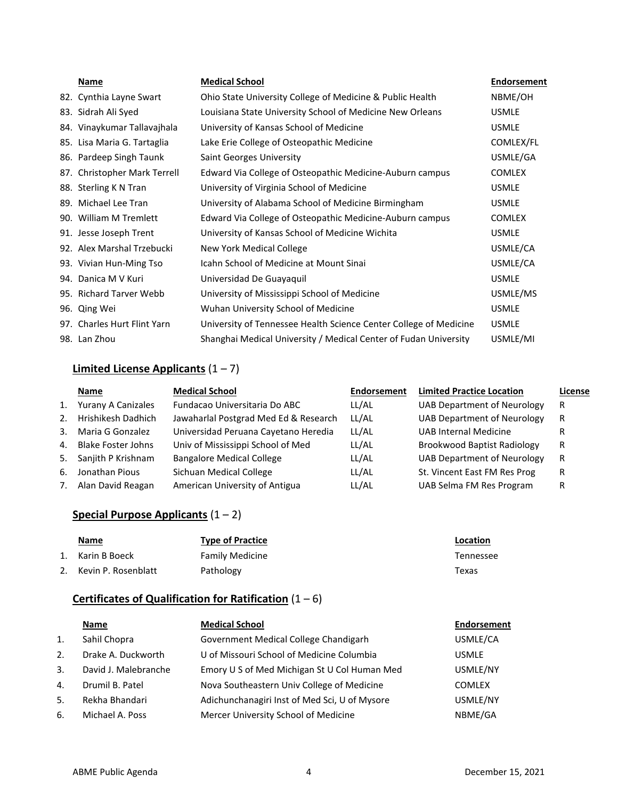| Name                         | <b>Medical School</b>                                             | <b>Endorsement</b> |
|------------------------------|-------------------------------------------------------------------|--------------------|
| 82. Cynthia Layne Swart      | Ohio State University College of Medicine & Public Health         | NBME/OH            |
| 83. Sidrah Ali Syed          | Louisiana State University School of Medicine New Orleans         | <b>USMLE</b>       |
| 84. Vinaykumar Tallavajhala  | University of Kansas School of Medicine                           | <b>USMLE</b>       |
| 85. Lisa Maria G. Tartaglia  | Lake Erie College of Osteopathic Medicine                         | COMLEX/FL          |
| 86. Pardeep Singh Taunk      | <b>Saint Georges University</b>                                   | USMLE/GA           |
| 87. Christopher Mark Terrell | Edward Via College of Osteopathic Medicine-Auburn campus          | <b>COMLEX</b>      |
| 88. Sterling K N Tran        | University of Virginia School of Medicine                         | <b>USMLE</b>       |
| 89. Michael Lee Tran         | University of Alabama School of Medicine Birmingham               | <b>USMLE</b>       |
| 90. William M Tremlett       | Edward Via College of Osteopathic Medicine-Auburn campus          | <b>COMLEX</b>      |
| 91. Jesse Joseph Trent       | University of Kansas School of Medicine Wichita                   | <b>USMLE</b>       |
| 92. Alex Marshal Trzebucki   | New York Medical College                                          | USMLE/CA           |
| 93. Vivian Hun-Ming Tso      | Icahn School of Medicine at Mount Sinai                           | USMLE/CA           |
| 94. Danica M V Kuri          | Universidad De Guayaquil                                          | <b>USMLE</b>       |
| 95. Richard Tarver Webb      | University of Mississippi School of Medicine                      | USMLE/MS           |
| 96. Qing Wei                 | Wuhan University School of Medicine                               | <b>USMLE</b>       |
| 97. Charles Hurt Flint Yarn  | University of Tennessee Health Science Center College of Medicine | <b>USMLE</b>       |
| 98. Lan Zhou                 | Shanghai Medical University / Medical Center of Fudan University  | USMLE/MI           |

## **Limited License Applicants** (1 – 7)

|                | Name                      | <b>Medical School</b>                 | <b>Endorsement</b> | <b>Limited Practice Location</b>   | License |
|----------------|---------------------------|---------------------------------------|--------------------|------------------------------------|---------|
| 1.             | Yurany A Canizales        | Fundacao Universitaria Do ABC         | LL/AL              | UAB Department of Neurology        | R       |
| 2.             | Hrishikesh Dadhich        | Jawaharlal Postgrad Med Ed & Research | LL/AL              | UAB Department of Neurology        | R       |
| 3.             | Maria G Gonzalez          | Universidad Peruana Cayetano Heredia  | LL/AL              | <b>UAB Internal Medicine</b>       | R       |
| $\mathbf{4}$ . | <b>Blake Foster Johns</b> | Univ of Mississippi School of Med     | LL/AL              | <b>Brookwood Baptist Radiology</b> | R       |
|                | 5. Sanjith P Krishnam     | <b>Bangalore Medical College</b>      | LL/AL              | UAB Department of Neurology        | R       |
| 6.             | Jonathan Pious            | Sichuan Medical College               | LL/AL              | St. Vincent East FM Res Prog       | R       |
| 7.             | Alan David Reagan         | American University of Antigua        | LL/AL              | UAB Selma FM Res Program           | R       |

## **Special Purpose Applicants** (1 – 2)

| <b>Name</b>         | <b>Type of Practice</b> | Location  |
|---------------------|-------------------------|-----------|
| 1. Karin B Boeck    | <b>Family Medicine</b>  | Tennessee |
| Kevin P. Rosenblatt | Pathology               | Texas     |

## **Certificates of Qualification for Ratification** (1 – 6)

|                | Name                 | <b>Medical School</b>                         | <b>Endorsement</b> |
|----------------|----------------------|-----------------------------------------------|--------------------|
| $\mathbf{1}$ . | Sahil Chopra         | Government Medical College Chandigarh         | USMLE/CA           |
| 2.             | Drake A. Duckworth   | U of Missouri School of Medicine Columbia     | <b>USMLE</b>       |
| 3.             | David J. Malebranche | Emory U S of Med Michigan St U Col Human Med  | USMLE/NY           |
| 4.             | Drumil B. Patel      | Nova Southeastern Univ College of Medicine    | <b>COMLEX</b>      |
| 5.             | Rekha Bhandari       | Adichunchanagiri Inst of Med Sci, U of Mysore | USMLE/NY           |
| 6.             | Michael A. Poss      | Mercer University School of Medicine          | NBME/GA            |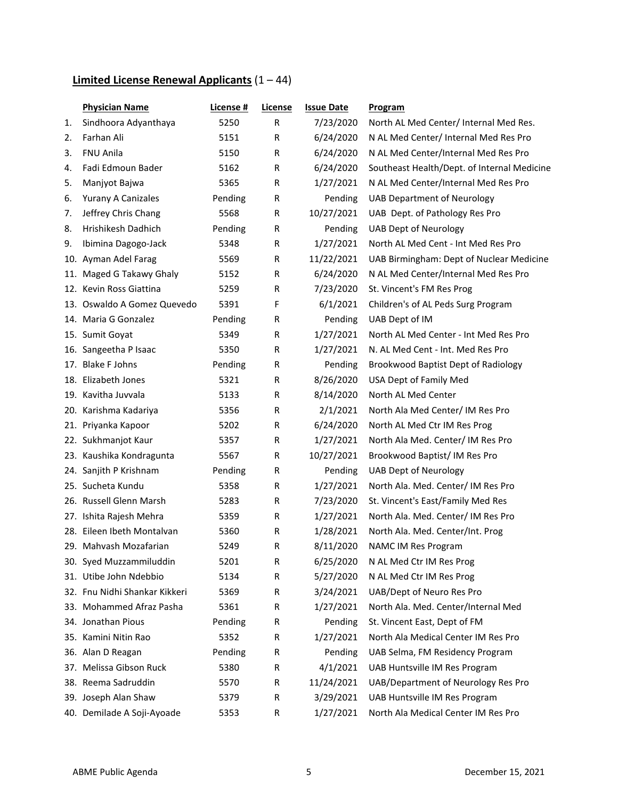# **Limited License Renewal Applicants** (1 – 44)

|     | <b>Physician Name</b>         | <u>License #</u> | License | <b>Issue Date</b> | <b>Program</b>                              |
|-----|-------------------------------|------------------|---------|-------------------|---------------------------------------------|
| 1.  | Sindhoora Adyanthaya          | 5250             | R       | 7/23/2020         | North AL Med Center/ Internal Med Res.      |
| 2.  | Farhan Ali                    | 5151             | R       | 6/24/2020         | N AL Med Center/ Internal Med Res Pro       |
| 3.  | FNU Anila                     | 5150             | R       | 6/24/2020         | N AL Med Center/Internal Med Res Pro        |
| 4.  | Fadi Edmoun Bader             | 5162             | R       | 6/24/2020         | Southeast Health/Dept. of Internal Medicine |
| 5.  | Manjyot Bajwa                 | 5365             | R       | 1/27/2021         | N AL Med Center/Internal Med Res Pro        |
| 6.  | Yurany A Canizales            | Pending          | R       | Pending           | <b>UAB Department of Neurology</b>          |
| 7.  | Jeffrey Chris Chang           | 5568             | R       | 10/27/2021        | UAB Dept. of Pathology Res Pro              |
| 8.  | Hrishikesh Dadhich            | Pending          | R       | Pending           | <b>UAB Dept of Neurology</b>                |
| 9.  | Ibimina Dagogo-Jack           | 5348             | R       | 1/27/2021         | North AL Med Cent - Int Med Res Pro         |
|     | 10. Ayman Adel Farag          | 5569             | R       | 11/22/2021        | UAB Birmingham: Dept of Nuclear Medicine    |
|     | 11. Maged G Takawy Ghaly      | 5152             | R       | 6/24/2020         | N AL Med Center/Internal Med Res Pro        |
|     | 12. Kevin Ross Giattina       | 5259             | R       | 7/23/2020         | St. Vincent's FM Res Prog                   |
|     | 13. Oswaldo A Gomez Quevedo   | 5391             | F       | 6/1/2021          | Children's of AL Peds Surg Program          |
|     | 14. Maria G Gonzalez          | Pending          | R       | Pending           | UAB Dept of IM                              |
|     | 15. Sumit Govat               | 5349             | R       | 1/27/2021         | North AL Med Center - Int Med Res Pro       |
|     | 16. Sangeetha P Isaac         | 5350             | R       | 1/27/2021         | N. AL Med Cent - Int. Med Res Pro           |
|     | 17. Blake F Johns             | Pending          | R       | Pending           | Brookwood Baptist Dept of Radiology         |
|     | 18. Elizabeth Jones           | 5321             | R       | 8/26/2020         | USA Dept of Family Med                      |
|     | 19. Kavitha Juvvala           | 5133             | R       | 8/14/2020         | North AL Med Center                         |
|     | 20. Karishma Kadariya         | 5356             | R       | 2/1/2021          | North Ala Med Center/ IM Res Pro            |
|     | 21. Priyanka Kapoor           | 5202             | R       | 6/24/2020         | North AL Med Ctr IM Res Prog                |
|     | 22. Sukhmanjot Kaur           | 5357             | R       | 1/27/2021         | North Ala Med. Center/ IM Res Pro           |
|     | 23. Kaushika Kondragunta      | 5567             | R       | 10/27/2021        | Brookwood Baptist/IM Res Pro                |
|     | 24. Sanjith P Krishnam        | Pending          | R       | Pending           | <b>UAB Dept of Neurology</b>                |
|     | 25. Sucheta Kundu             | 5358             | R       | 1/27/2021         | North Ala. Med. Center/ IM Res Pro          |
|     | 26. Russell Glenn Marsh       | 5283             | R       | 7/23/2020         | St. Vincent's East/Family Med Res           |
|     | 27. Ishita Rajesh Mehra       | 5359             | R       | 1/27/2021         | North Ala. Med. Center/IM Res Pro           |
|     | 28. Eileen Ibeth Montalvan    | 5360             | R       | 1/28/2021         | North Ala. Med. Center/Int. Prog            |
|     | 29. Mahvash Mozafarian        | 5249             | R       | 8/11/2020         | NAMC IM Res Program                         |
|     | 30. Syed Muzzammiluddin       | 5201             | R       | 6/25/2020         | N AL Med Ctr IM Res Prog                    |
| 31. | Utibe John Ndebbio            | 5134             | R       | 5/27/2020         | N AL Med Ctr IM Res Prog                    |
|     | 32. Fnu Nidhi Shankar Kikkeri | 5369             | R       | 3/24/2021         | UAB/Dept of Neuro Res Pro                   |
|     | 33. Mohammed Afraz Pasha      | 5361             | R       | 1/27/2021         | North Ala. Med. Center/Internal Med         |
|     | 34. Jonathan Pious            | Pending          | R       | Pending           | St. Vincent East, Dept of FM                |
|     | 35. Kamini Nitin Rao          | 5352             | R       | 1/27/2021         | North Ala Medical Center IM Res Pro         |
|     | 36. Alan D Reagan             | Pending          | R       | Pending           | UAB Selma, FM Residency Program             |
|     | 37. Melissa Gibson Ruck       | 5380             | R       | 4/1/2021          | UAB Huntsville IM Res Program               |
|     | 38. Reema Sadruddin           | 5570             | R       | 11/24/2021        | UAB/Department of Neurology Res Pro         |
|     | 39. Joseph Alan Shaw          | 5379             | R       | 3/29/2021         | UAB Huntsville IM Res Program               |
|     | 40. Demilade A Soji-Ayoade    | 5353             | R       | 1/27/2021         | North Ala Medical Center IM Res Pro         |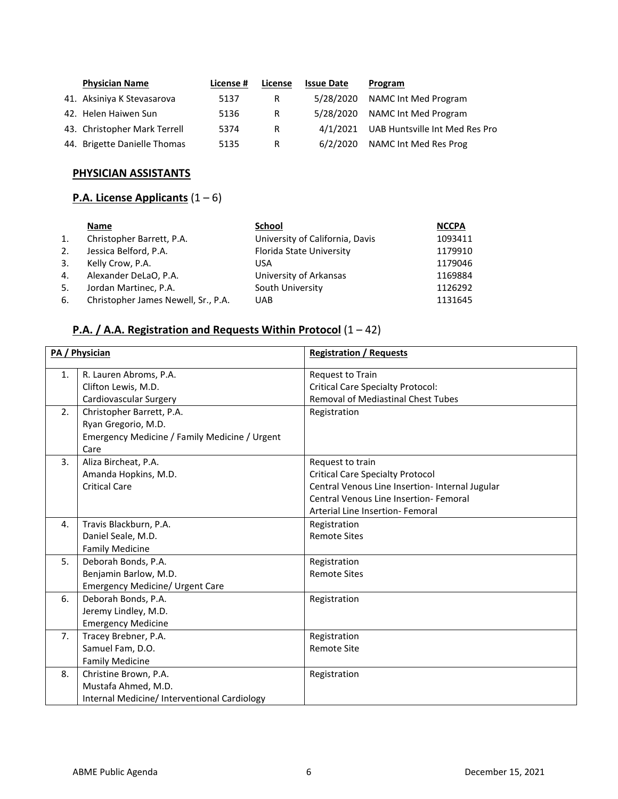| <b>Physician Name</b>        | License # | License | <b>Issue Date</b> | Program                        |
|------------------------------|-----------|---------|-------------------|--------------------------------|
| 41. Aksiniya K Stevasarova   | 5137      | R.      | 5/28/2020         | NAMC Int Med Program           |
| 42. Helen Haiwen Sun         | 5136      | R       | 5/28/2020         | NAMC Int Med Program           |
| 43. Christopher Mark Terrell | 5374      | R.      | 4/1/2021          | UAB Huntsville Int Med Res Pro |
| 44. Brigette Danielle Thomas | 5135      | R       | 6/2/2020          | NAMC Int Med Res Prog          |

# **PHYSICIAN ASSISTANTS**

## **P.A. License Applicants** (1 – 6)

|    | Name                                | School                          | <b>NCCPA</b> |
|----|-------------------------------------|---------------------------------|--------------|
| 1. | Christopher Barrett, P.A.           | University of California, Davis | 1093411      |
| 2. | Jessica Belford, P.A.               | Florida State University        | 1179910      |
| 3. | Kelly Crow, P.A.                    | USA                             | 1179046      |
| 4. | Alexander DeLaO, P.A.               | University of Arkansas          | 1169884      |
| 5. | Jordan Martinec, P.A.               | South University                | 1126292      |
| 6. | Christopher James Newell, Sr., P.A. | <b>UAB</b>                      | 1131645      |

# **P.A. / A.A. Registration and Requests Within Protocol** (1 – 42)

|    | PA / Physician                                | <b>Registration / Requests</b>                  |
|----|-----------------------------------------------|-------------------------------------------------|
| 1. | R. Lauren Abroms, P.A.                        | Request to Train                                |
|    | Clifton Lewis, M.D.                           | <b>Critical Care Specialty Protocol:</b>        |
|    | Cardiovascular Surgery                        | Removal of Mediastinal Chest Tubes              |
| 2. | Christopher Barrett, P.A.                     | Registration                                    |
|    | Ryan Gregorio, M.D.                           |                                                 |
|    | Emergency Medicine / Family Medicine / Urgent |                                                 |
|    | Care                                          |                                                 |
| 3. | Aliza Bircheat, P.A.                          | Request to train                                |
|    | Amanda Hopkins, M.D.                          | <b>Critical Care Specialty Protocol</b>         |
|    | <b>Critical Care</b>                          | Central Venous Line Insertion- Internal Jugular |
|    |                                               | Central Venous Line Insertion- Femoral          |
|    |                                               | Arterial Line Insertion- Femoral                |
| 4. | Travis Blackburn, P.A.                        | Registration                                    |
|    | Daniel Seale, M.D.                            | <b>Remote Sites</b>                             |
|    | <b>Family Medicine</b>                        |                                                 |
| 5. | Deborah Bonds, P.A.                           | Registration                                    |
|    | Benjamin Barlow, M.D.                         | <b>Remote Sites</b>                             |
|    | Emergency Medicine/ Urgent Care               |                                                 |
| 6. | Deborah Bonds, P.A.                           | Registration                                    |
|    | Jeremy Lindley, M.D.                          |                                                 |
|    | <b>Emergency Medicine</b>                     |                                                 |
| 7. | Tracey Brebner, P.A.                          | Registration                                    |
|    | Samuel Fam, D.O.                              | <b>Remote Site</b>                              |
|    | <b>Family Medicine</b>                        |                                                 |
| 8. | Christine Brown, P.A.                         | Registration                                    |
|    | Mustafa Ahmed, M.D.                           |                                                 |
|    | Internal Medicine/ Interventional Cardiology  |                                                 |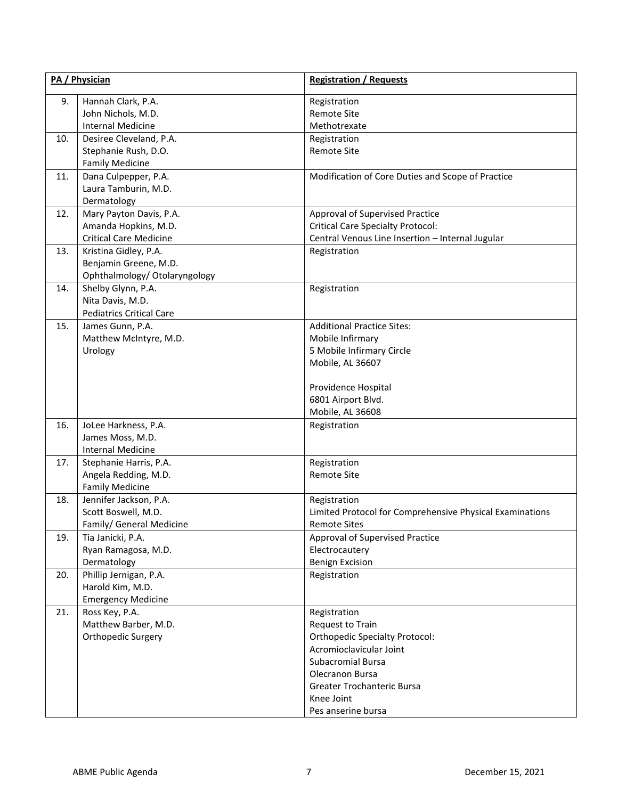|     | PA / Physician                                  | <b>Registration / Requests</b>                           |  |
|-----|-------------------------------------------------|----------------------------------------------------------|--|
| 9.  | Hannah Clark, P.A.<br>John Nichols, M.D.        | Registration<br>Remote Site                              |  |
|     | <b>Internal Medicine</b>                        | Methotrexate                                             |  |
| 10. | Desiree Cleveland, P.A.<br>Stephanie Rush, D.O. | Registration<br>Remote Site                              |  |
|     | <b>Family Medicine</b>                          |                                                          |  |
| 11. | Dana Culpepper, P.A.                            | Modification of Core Duties and Scope of Practice        |  |
|     | Laura Tamburin, M.D.                            |                                                          |  |
|     | Dermatology                                     |                                                          |  |
| 12. | Mary Payton Davis, P.A.                         | Approval of Supervised Practice                          |  |
|     | Amanda Hopkins, M.D.                            | <b>Critical Care Specialty Protocol:</b>                 |  |
|     | <b>Critical Care Medicine</b>                   | Central Venous Line Insertion - Internal Jugular         |  |
| 13. | Kristina Gidley, P.A.                           | Registration                                             |  |
|     | Benjamin Greene, M.D.                           |                                                          |  |
|     | Ophthalmology/ Otolaryngology                   |                                                          |  |
| 14. | Shelby Glynn, P.A.                              | Registration                                             |  |
|     | Nita Davis, M.D.                                |                                                          |  |
|     | <b>Pediatrics Critical Care</b>                 |                                                          |  |
| 15. | James Gunn, P.A.                                | <b>Additional Practice Sites:</b>                        |  |
|     | Matthew McIntyre, M.D.                          | Mobile Infirmary                                         |  |
|     | Urology                                         | 5 Mobile Infirmary Circle                                |  |
|     |                                                 | Mobile, AL 36607                                         |  |
|     |                                                 | Providence Hospital                                      |  |
|     |                                                 | 6801 Airport Blvd.                                       |  |
|     |                                                 | Mobile, AL 36608                                         |  |
| 16. | JoLee Harkness, P.A.                            | Registration                                             |  |
|     | James Moss, M.D.                                |                                                          |  |
|     | <b>Internal Medicine</b>                        |                                                          |  |
| 17. | Stephanie Harris, P.A.                          | Registration                                             |  |
|     | Angela Redding, M.D.                            | Remote Site                                              |  |
|     | <b>Family Medicine</b>                          |                                                          |  |
| 18. | Jennifer Jackson, P.A.                          | Registration                                             |  |
|     | Scott Boswell, M.D.                             | Limited Protocol for Comprehensive Physical Examinations |  |
|     | Family/ General Medicine                        | Remote Sites                                             |  |
| 19. | Tia Janicki, P.A.                               | Approval of Supervised Practice                          |  |
|     | Ryan Ramagosa, M.D.                             | Electrocautery                                           |  |
| 20. | Dermatology<br>Phillip Jernigan, P.A.           | <b>Benign Excision</b><br>Registration                   |  |
|     | Harold Kim, M.D.                                |                                                          |  |
|     | <b>Emergency Medicine</b>                       |                                                          |  |
| 21. | Ross Key, P.A.                                  | Registration                                             |  |
|     | Matthew Barber, M.D.                            | Request to Train                                         |  |
|     | Orthopedic Surgery                              | <b>Orthopedic Specialty Protocol:</b>                    |  |
|     |                                                 | Acromioclavicular Joint                                  |  |
|     |                                                 | <b>Subacromial Bursa</b>                                 |  |
|     |                                                 | Olecranon Bursa                                          |  |
|     |                                                 | Greater Trochanteric Bursa                               |  |
|     |                                                 | Knee Joint                                               |  |
|     |                                                 | Pes anserine bursa                                       |  |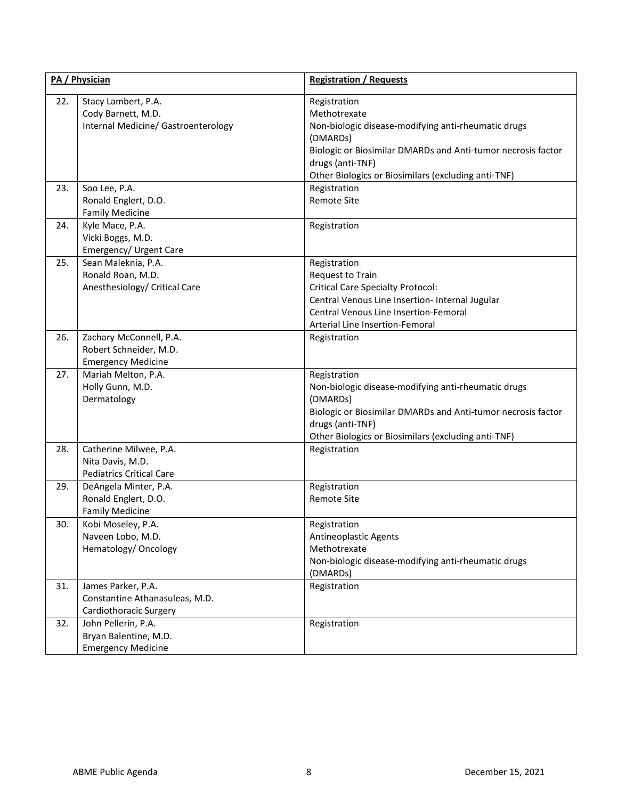|     | PA / Physician                                                                   | <b>Registration / Requests</b>                                                                                                                                                                                                             |  |
|-----|----------------------------------------------------------------------------------|--------------------------------------------------------------------------------------------------------------------------------------------------------------------------------------------------------------------------------------------|--|
| 22. | Stacy Lambert, P.A.<br>Cody Barnett, M.D.<br>Internal Medicine/ Gastroenterology | Registration<br>Methotrexate<br>Non-biologic disease-modifying anti-rheumatic drugs<br>(DMARDs)<br>Biologic or Biosimilar DMARDs and Anti-tumor necrosis factor<br>drugs (anti-TNF)<br>Other Biologics or Biosimilars (excluding anti-TNF) |  |
| 23. | Soo Lee, P.A.<br>Ronald Englert, D.O.<br><b>Family Medicine</b>                  | Registration<br>Remote Site                                                                                                                                                                                                                |  |
| 24. | Kyle Mace, P.A.<br>Vicki Boggs, M.D.<br>Emergency/ Urgent Care                   | Registration                                                                                                                                                                                                                               |  |
| 25. | Sean Maleknia, P.A.<br>Ronald Roan, M.D.<br>Anesthesiology/ Critical Care        | Registration<br>Request to Train<br><b>Critical Care Specialty Protocol:</b><br>Central Venous Line Insertion- Internal Jugular<br>Central Venous Line Insertion-Femoral<br>Arterial Line Insertion-Femoral                                |  |
| 26. | Zachary McConnell, P.A.<br>Robert Schneider, M.D.<br><b>Emergency Medicine</b>   | Registration                                                                                                                                                                                                                               |  |
| 27. | Mariah Melton, P.A.<br>Holly Gunn, M.D.<br>Dermatology                           | Registration<br>Non-biologic disease-modifying anti-rheumatic drugs<br>(DMARDs)<br>Biologic or Biosimilar DMARDs and Anti-tumor necrosis factor<br>drugs (anti-TNF)<br>Other Biologics or Biosimilars (excluding anti-TNF)                 |  |
| 28. | Catherine Milwee, P.A.<br>Nita Davis, M.D.<br><b>Pediatrics Critical Care</b>    | Registration                                                                                                                                                                                                                               |  |
| 29. | DeAngela Minter, P.A.<br>Ronald Englert, D.O.<br><b>Family Medicine</b>          | Registration<br><b>Remote Site</b>                                                                                                                                                                                                         |  |
| 30. | Kobi Moseley, P.A.<br>Naveen Lobo, M.D.<br>Hematology/ Oncology                  | Registration<br><b>Antineoplastic Agents</b><br>Methotrexate<br>Non-biologic disease-modifying anti-rheumatic drugs<br>(DMARDs)                                                                                                            |  |
| 31. | James Parker, P.A.<br>Constantine Athanasuleas, M.D.<br>Cardiothoracic Surgery   | Registration                                                                                                                                                                                                                               |  |
| 32. | John Pellerin, P.A.<br>Bryan Balentine, M.D.<br><b>Emergency Medicine</b>        | Registration                                                                                                                                                                                                                               |  |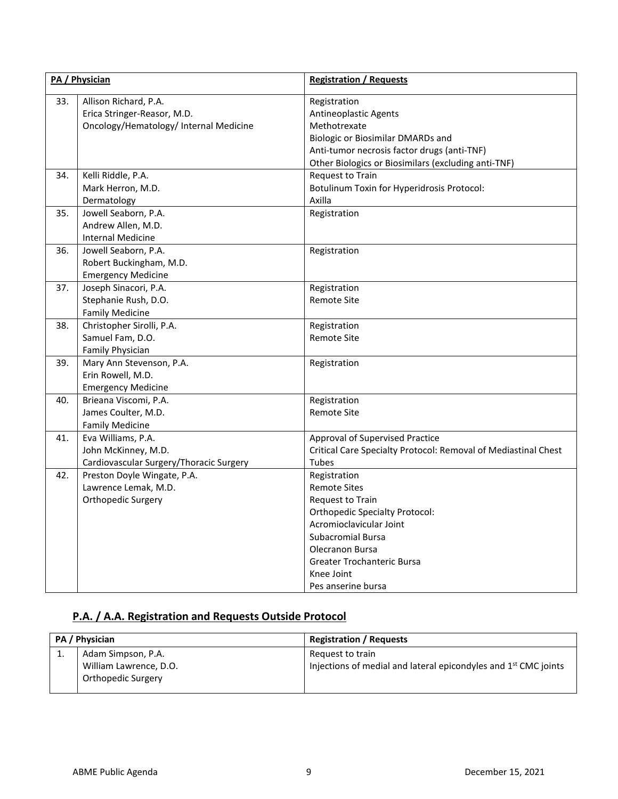| PA / Physician |                                                                                                | <b>Registration / Requests</b>                                                                                                                                                                                                               |
|----------------|------------------------------------------------------------------------------------------------|----------------------------------------------------------------------------------------------------------------------------------------------------------------------------------------------------------------------------------------------|
| 33.            | Allison Richard, P.A.<br>Erica Stringer-Reasor, M.D.<br>Oncology/Hematology/ Internal Medicine | Registration<br><b>Antineoplastic Agents</b><br>Methotrexate<br>Biologic or Biosimilar DMARDs and<br>Anti-tumor necrosis factor drugs (anti-TNF)<br>Other Biologics or Biosimilars (excluding anti-TNF)                                      |
| 34.            | Kelli Riddle, P.A.<br>Mark Herron, M.D.<br>Dermatology                                         | Request to Train<br>Botulinum Toxin for Hyperidrosis Protocol:<br>Axilla                                                                                                                                                                     |
| 35.            | Jowell Seaborn, P.A.<br>Andrew Allen, M.D.<br>Internal Medicine                                | Registration                                                                                                                                                                                                                                 |
| 36.            | Jowell Seaborn, P.A.<br>Robert Buckingham, M.D.<br><b>Emergency Medicine</b>                   | Registration                                                                                                                                                                                                                                 |
| 37.            | Joseph Sinacori, P.A.<br>Stephanie Rush, D.O.<br><b>Family Medicine</b>                        | Registration<br><b>Remote Site</b>                                                                                                                                                                                                           |
| 38.            | Christopher Sirolli, P.A.<br>Samuel Fam, D.O.<br>Family Physician                              | Registration<br><b>Remote Site</b>                                                                                                                                                                                                           |
| 39.            | Mary Ann Stevenson, P.A.<br>Erin Rowell, M.D.<br><b>Emergency Medicine</b>                     | Registration                                                                                                                                                                                                                                 |
| 40.            | Brieana Viscomi, P.A.<br>James Coulter, M.D.<br><b>Family Medicine</b>                         | Registration<br><b>Remote Site</b>                                                                                                                                                                                                           |
| 41.            | Eva Williams, P.A.<br>John McKinney, M.D.<br>Cardiovascular Surgery/Thoracic Surgery           | Approval of Supervised Practice<br>Critical Care Specialty Protocol: Removal of Mediastinal Chest<br>Tubes                                                                                                                                   |
| 42.            | Preston Doyle Wingate, P.A.<br>Lawrence Lemak, M.D.<br>Orthopedic Surgery                      | Registration<br><b>Remote Sites</b><br>Request to Train<br><b>Orthopedic Specialty Protocol:</b><br>Acromioclavicular Joint<br><b>Subacromial Bursa</b><br>Olecranon Bursa<br>Greater Trochanteric Bursa<br>Knee Joint<br>Pes anserine bursa |

## **P.A. / A.A. Registration and Requests Outside Protocol**

| PA / Physician |                                                                           | <b>Registration / Requests</b>                                                                  |
|----------------|---------------------------------------------------------------------------|-------------------------------------------------------------------------------------------------|
|                | Adam Simpson, P.A.<br>William Lawrence, D.O.<br><b>Orthopedic Surgery</b> | Request to train<br>Injections of medial and lateral epicondyles and 1 <sup>st</sup> CMC joints |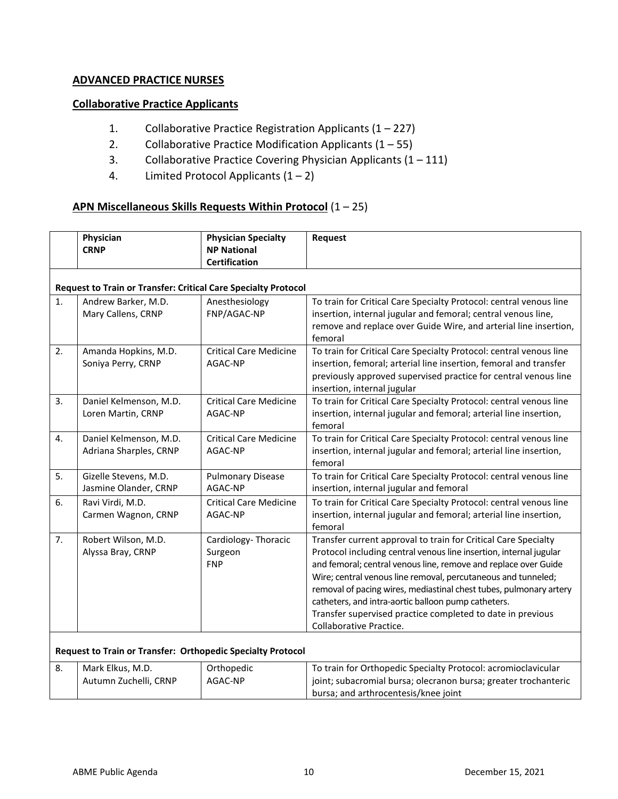### **ADVANCED PRACTICE NURSES**

### **Collaborative Practice Applicants**

- 1. Collaborative Practice Registration Applicants (1 227)
- 2. Collaborative Practice Modification Applicants  $(1 55)$
- 3. Collaborative Practice Covering Physician Applicants (1 111)
- 4. Limited Protocol Applicants  $(1 2)$

### **APN Miscellaneous Skills Requests Within Protocol** (1 – 25)

|    | Physician<br><b>CRNP</b>                                              | <b>Physician Specialty</b><br><b>NP National</b><br><b>Certification</b> | Request                                                                                                                                                                                                                                                                                                                                                                                                                                                                                        |
|----|-----------------------------------------------------------------------|--------------------------------------------------------------------------|------------------------------------------------------------------------------------------------------------------------------------------------------------------------------------------------------------------------------------------------------------------------------------------------------------------------------------------------------------------------------------------------------------------------------------------------------------------------------------------------|
|    | <b>Request to Train or Transfer: Critical Care Specialty Protocol</b> |                                                                          |                                                                                                                                                                                                                                                                                                                                                                                                                                                                                                |
| 1. | Andrew Barker, M.D.<br>Mary Callens, CRNP                             | Anesthesiology<br>FNP/AGAC-NP                                            | To train for Critical Care Specialty Protocol: central venous line<br>insertion, internal jugular and femoral; central venous line,<br>remove and replace over Guide Wire, and arterial line insertion,<br>femoral                                                                                                                                                                                                                                                                             |
| 2. | Amanda Hopkins, M.D.<br>Soniya Perry, CRNP                            | <b>Critical Care Medicine</b><br>AGAC-NP                                 | To train for Critical Care Specialty Protocol: central venous line<br>insertion, femoral; arterial line insertion, femoral and transfer<br>previously approved supervised practice for central venous line<br>insertion, internal jugular                                                                                                                                                                                                                                                      |
| 3. | Daniel Kelmenson, M.D.<br>Loren Martin, CRNP                          | <b>Critical Care Medicine</b><br>AGAC-NP                                 | To train for Critical Care Specialty Protocol: central venous line<br>insertion, internal jugular and femoral; arterial line insertion,<br>femoral                                                                                                                                                                                                                                                                                                                                             |
| 4. | Daniel Kelmenson, M.D.<br>Adriana Sharples, CRNP                      | <b>Critical Care Medicine</b><br>AGAC-NP                                 | To train for Critical Care Specialty Protocol: central venous line<br>insertion, internal jugular and femoral; arterial line insertion,<br>femoral                                                                                                                                                                                                                                                                                                                                             |
| 5. | Gizelle Stevens, M.D.<br>Jasmine Olander, CRNP                        | <b>Pulmonary Disease</b><br>AGAC-NP                                      | To train for Critical Care Specialty Protocol: central venous line<br>insertion, internal jugular and femoral                                                                                                                                                                                                                                                                                                                                                                                  |
| 6. | Ravi Virdi, M.D.<br>Carmen Wagnon, CRNP                               | <b>Critical Care Medicine</b><br>AGAC-NP                                 | To train for Critical Care Specialty Protocol: central venous line<br>insertion, internal jugular and femoral; arterial line insertion,<br>femoral                                                                                                                                                                                                                                                                                                                                             |
| 7. | Robert Wilson, M.D.<br>Alyssa Bray, CRNP                              | Cardiology-Thoracic<br>Surgeon<br><b>FNP</b>                             | Transfer current approval to train for Critical Care Specialty<br>Protocol including central venous line insertion, internal jugular<br>and femoral; central venous line, remove and replace over Guide<br>Wire; central venous line removal, percutaneous and tunneled;<br>removal of pacing wires, mediastinal chest tubes, pulmonary artery<br>catheters, and intra-aortic balloon pump catheters.<br>Transfer supervised practice completed to date in previous<br>Collaborative Practice. |
|    | Request to Train or Transfer: Orthopedic Specialty Protocol           |                                                                          |                                                                                                                                                                                                                                                                                                                                                                                                                                                                                                |
| 8. | Mark Elkus, M.D.<br>Autumn Zuchelli, CRNP                             | Orthopedic<br>AGAC-NP                                                    | To train for Orthopedic Specialty Protocol: acromioclavicular<br>joint; subacromial bursa; olecranon bursa; greater trochanteric                                                                                                                                                                                                                                                                                                                                                               |

bursa; and arthrocentesis/knee joint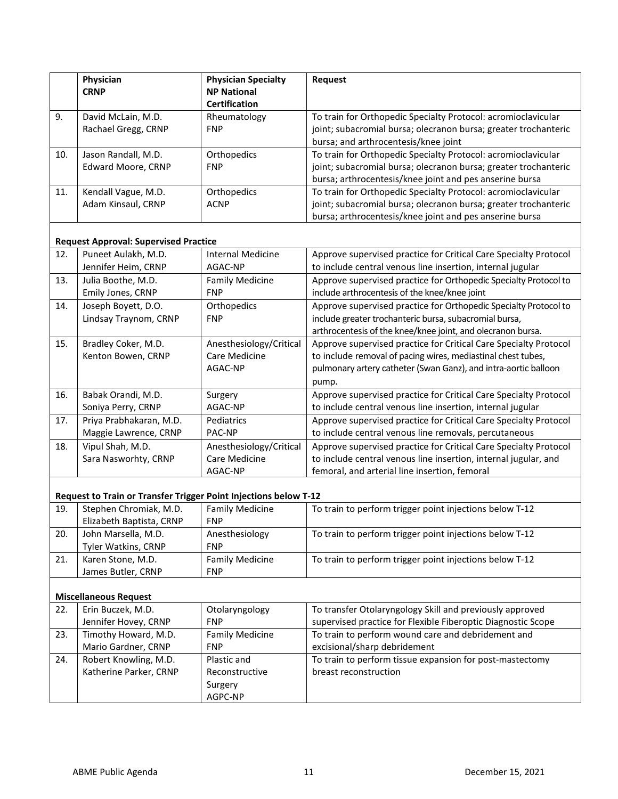|     | Physician<br><b>CRNP</b>                                         | <b>Physician Specialty</b><br><b>NP National</b><br><b>Certification</b> | <b>Request</b>                                                                                                                                                                                               |
|-----|------------------------------------------------------------------|--------------------------------------------------------------------------|--------------------------------------------------------------------------------------------------------------------------------------------------------------------------------------------------------------|
| 9.  | David McLain, M.D.<br>Rachael Gregg, CRNP                        | Rheumatology<br><b>FNP</b>                                               | To train for Orthopedic Specialty Protocol: acromioclavicular<br>joint; subacromial bursa; olecranon bursa; greater trochanteric<br>bursa; and arthrocentesis/knee joint                                     |
| 10. | Jason Randall, M.D.<br><b>Edward Moore, CRNP</b>                 | Orthopedics<br><b>FNP</b>                                                | To train for Orthopedic Specialty Protocol: acromioclavicular<br>joint; subacromial bursa; olecranon bursa; greater trochanteric<br>bursa; arthrocentesis/knee joint and pes anserine bursa                  |
| 11. | Kendall Vague, M.D.<br>Adam Kinsaul, CRNP                        | Orthopedics<br><b>ACNP</b>                                               | To train for Orthopedic Specialty Protocol: acromioclavicular<br>joint; subacromial bursa; olecranon bursa; greater trochanteric<br>bursa; arthrocentesis/knee joint and pes anserine bursa                  |
|     | <b>Request Approval: Supervised Practice</b>                     |                                                                          |                                                                                                                                                                                                              |
| 12. | Puneet Aulakh, M.D.<br>Jennifer Heim, CRNP                       | <b>Internal Medicine</b><br>AGAC-NP                                      | Approve supervised practice for Critical Care Specialty Protocol<br>to include central venous line insertion, internal jugular                                                                               |
| 13. | Julia Boothe, M.D.<br>Emily Jones, CRNP                          | <b>Family Medicine</b><br><b>FNP</b>                                     | Approve supervised practice for Orthopedic Specialty Protocol to<br>include arthrocentesis of the knee/knee joint                                                                                            |
| 14. | Joseph Boyett, D.O.<br>Lindsay Traynom, CRNP                     | Orthopedics<br><b>FNP</b>                                                | Approve supervised practice for Orthopedic Specialty Protocol to<br>include greater trochanteric bursa, subacromial bursa,<br>arthrocentesis of the knee/knee joint, and olecranon bursa.                    |
| 15. | Bradley Coker, M.D.<br>Kenton Bowen, CRNP                        | Anesthesiology/Critical<br>Care Medicine<br>AGAC-NP                      | Approve supervised practice for Critical Care Specialty Protocol<br>to include removal of pacing wires, mediastinal chest tubes,<br>pulmonary artery catheter (Swan Ganz), and intra-aortic balloon<br>pump. |
| 16. | Babak Orandi, M.D.<br>Soniya Perry, CRNP                         | Surgery<br>AGAC-NP                                                       | Approve supervised practice for Critical Care Specialty Protocol<br>to include central venous line insertion, internal jugular                                                                               |
| 17. | Priya Prabhakaran, M.D.<br>Maggie Lawrence, CRNP                 | Pediatrics<br>PAC-NP                                                     | Approve supervised practice for Critical Care Specialty Protocol<br>to include central venous line removals, percutaneous                                                                                    |
| 18. | Vipul Shah, M.D.<br>Sara Nasworhty, CRNP                         | Anesthesiology/Critical<br>Care Medicine<br>AGAC-NP                      | Approve supervised practice for Critical Care Specialty Protocol<br>to include central venous line insertion, internal jugular, and<br>femoral, and arterial line insertion, femoral                         |
|     | Request to Train or Transfer Trigger Point Injections below T-12 |                                                                          |                                                                                                                                                                                                              |
| 19. | Stephen Chromiak, M.D.<br>Elizabeth Baptista, CRNP               | <b>Family Medicine</b><br><b>FNP</b>                                     | To train to perform trigger point injections below T-12                                                                                                                                                      |
| 20. | John Marsella, M.D.<br>Tyler Watkins, CRNP                       | Anesthesiology<br><b>FNP</b>                                             | To train to perform trigger point injections below T-12                                                                                                                                                      |
| 21. | Karen Stone, M.D.<br>James Butler, CRNP                          | <b>Family Medicine</b><br><b>FNP</b>                                     | To train to perform trigger point injections below T-12                                                                                                                                                      |
|     | <b>Miscellaneous Request</b>                                     |                                                                          |                                                                                                                                                                                                              |
| 22. | Erin Buczek, M.D.<br>Jennifer Hovey, CRNP                        | Otolaryngology<br><b>FNP</b>                                             | To transfer Otolaryngology Skill and previously approved<br>supervised practice for Flexible Fiberoptic Diagnostic Scope                                                                                     |
| 23. | Timothy Howard, M.D.<br>Mario Gardner, CRNP                      | <b>Family Medicine</b><br><b>FNP</b>                                     | To train to perform wound care and debridement and<br>excisional/sharp debridement                                                                                                                           |
| 24. | Robert Knowling, M.D.<br>Katherine Parker, CRNP                  | Plastic and<br>Reconstructive<br>Surgery<br>AGPC-NP                      | To train to perform tissue expansion for post-mastectomy<br>breast reconstruction                                                                                                                            |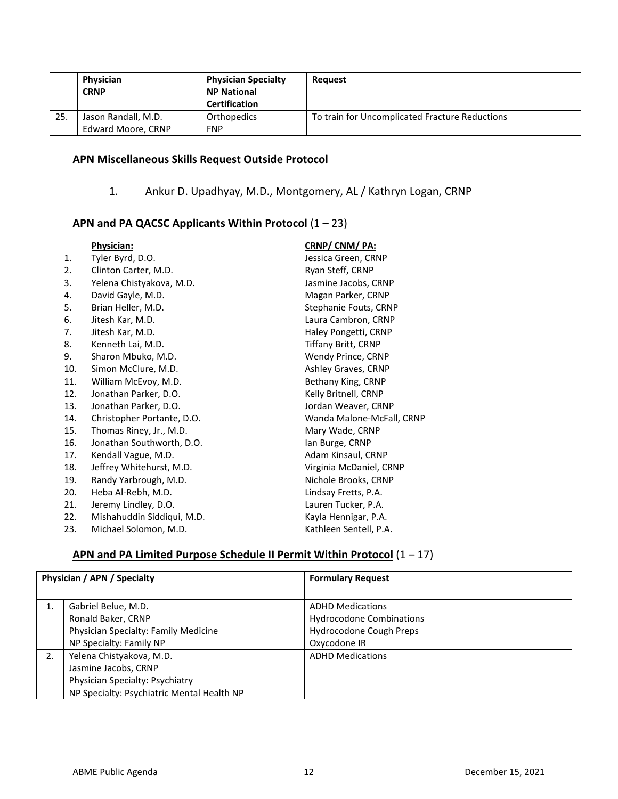|     | Physician<br><b>CRNP</b>                  | <b>Physician Specialty</b><br><b>NP National</b><br><b>Certification</b> | Reauest                                        |
|-----|-------------------------------------------|--------------------------------------------------------------------------|------------------------------------------------|
| 25. | Jason Randall, M.D.<br>Edward Moore, CRNP | Orthopedics<br><b>FNP</b>                                                | To train for Uncomplicated Fracture Reductions |

## **APN Miscellaneous Skills Request Outside Protocol**

1. Ankur D. Upadhyay, M.D., Montgomery, AL / Kathryn Logan, CRNP

## **APN and PA QACSC Applicants Within Protocol** (1 – 23)

|     | <b>Physician:</b>          | CRNP/ CNM/ PA:             |
|-----|----------------------------|----------------------------|
| 1.  | Tyler Byrd, D.O.           | Jessica Green, CRNP        |
| 2.  | Clinton Carter, M.D.       | Ryan Steff, CRNP           |
| 3.  | Yelena Chistyakova, M.D.   | Jasmine Jacobs, CRNP       |
| 4.  | David Gayle, M.D.          | Magan Parker, CRNP         |
| 5.  | Brian Heller, M.D.         | Stephanie Fouts, CRNP      |
| 6.  | Jitesh Kar, M.D.           | Laura Cambron, CRNP        |
| 7.  | Jitesh Kar, M.D.           | Haley Pongetti, CRNP       |
| 8.  | Kenneth Lai, M.D.          | <b>Tiffany Britt, CRNP</b> |
| 9.  | Sharon Mbuko, M.D.         | Wendy Prince, CRNP         |
| 10. | Simon McClure, M.D.        | Ashley Graves, CRNP        |
| 11. | William McEvoy, M.D.       | Bethany King, CRNP         |
| 12. | Jonathan Parker, D.O.      | Kelly Britnell, CRNP       |
| 13. | Jonathan Parker, D.O.      | Jordan Weaver, CRNP        |
| 14. | Christopher Portante, D.O. | Wanda Malone-McFall, CRNP  |
| 15. | Thomas Riney, Jr., M.D.    | Mary Wade, CRNP            |
| 16. | Jonathan Southworth, D.O.  | lan Burge, CRNP            |
| 17. | Kendall Vague, M.D.        | Adam Kinsaul, CRNP         |
| 18. | Jeffrey Whitehurst, M.D.   | Virginia McDaniel, CRNP    |
| 19. | Randy Yarbrough, M.D.      | Nichole Brooks, CRNP       |
| 20. | Heba Al-Rebh, M.D.         | Lindsay Fretts, P.A.       |
| 21. | Jeremy Lindley, D.O.       | Lauren Tucker, P.A.        |
| 22. | Mishahuddin Siddiqui, M.D. | Kayla Hennigar, P.A.       |
| 23. | Michael Solomon, M.D.      | Kathleen Sentell, P.A.     |

## **APN and PA Limited Purpose Schedule II Permit Within Protocol** (1 – 17)

| Physician / APN / Specialty |                                                                                                                                   | <b>Formulary Request</b>                                                                              |
|-----------------------------|-----------------------------------------------------------------------------------------------------------------------------------|-------------------------------------------------------------------------------------------------------|
| 1.                          | Gabriel Belue, M.D.<br>Ronald Baker, CRNP<br>Physician Specialty: Family Medicine<br>NP Specialty: Family NP                      | <b>ADHD Medications</b><br><b>Hydrocodone Combinations</b><br>Hydrocodone Cough Preps<br>Oxycodone IR |
| 2.                          | Yelena Chistyakova, M.D.<br>Jasmine Jacobs, CRNP<br>Physician Specialty: Psychiatry<br>NP Specialty: Psychiatric Mental Health NP | <b>ADHD Medications</b>                                                                               |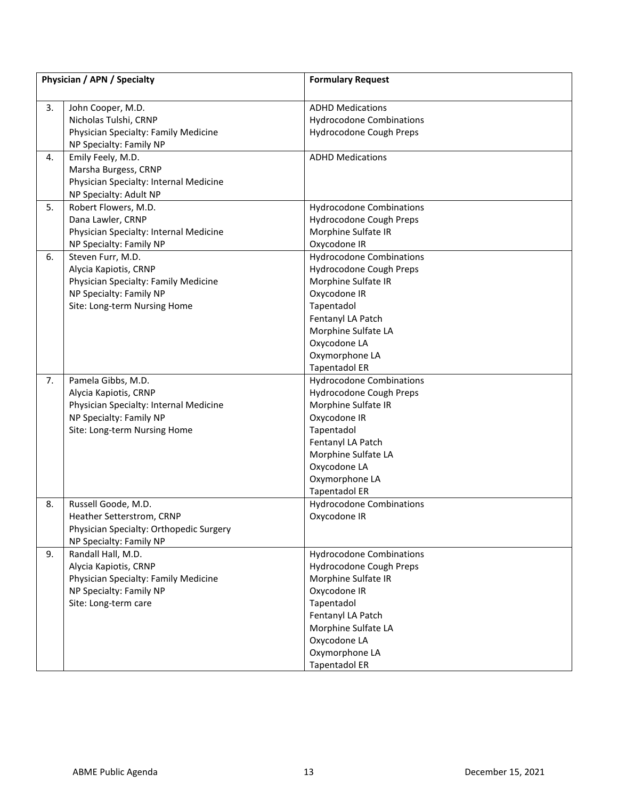|    | Physician / APN / Specialty             | <b>Formulary Request</b>        |
|----|-----------------------------------------|---------------------------------|
| 3. | John Cooper, M.D.                       | <b>ADHD Medications</b>         |
|    | Nicholas Tulshi, CRNP                   | <b>Hydrocodone Combinations</b> |
|    | Physician Specialty: Family Medicine    | Hydrocodone Cough Preps         |
|    | NP Specialty: Family NP                 |                                 |
| 4. | Emily Feely, M.D.                       | <b>ADHD Medications</b>         |
|    | Marsha Burgess, CRNP                    |                                 |
|    | Physician Specialty: Internal Medicine  |                                 |
|    | NP Specialty: Adult NP                  |                                 |
| 5. | Robert Flowers, M.D.                    | <b>Hydrocodone Combinations</b> |
|    | Dana Lawler, CRNP                       | Hydrocodone Cough Preps         |
|    | Physician Specialty: Internal Medicine  | Morphine Sulfate IR             |
|    | NP Specialty: Family NP                 | Oxycodone IR                    |
| 6. | Steven Furr, M.D.                       | <b>Hydrocodone Combinations</b> |
|    | Alycia Kapiotis, CRNP                   | Hydrocodone Cough Preps         |
|    | Physician Specialty: Family Medicine    | Morphine Sulfate IR             |
|    | NP Specialty: Family NP                 | Oxycodone IR                    |
|    | Site: Long-term Nursing Home            | Tapentadol                      |
|    |                                         | Fentanyl LA Patch               |
|    |                                         | Morphine Sulfate LA             |
|    |                                         | Oxycodone LA                    |
|    |                                         | Oxymorphone LA                  |
|    |                                         | <b>Tapentadol ER</b>            |
| 7. | Pamela Gibbs, M.D.                      | <b>Hydrocodone Combinations</b> |
|    | Alycia Kapiotis, CRNP                   | Hydrocodone Cough Preps         |
|    | Physician Specialty: Internal Medicine  | Morphine Sulfate IR             |
|    | NP Specialty: Family NP                 | Oxycodone IR                    |
|    | Site: Long-term Nursing Home            | Tapentadol                      |
|    |                                         | Fentanyl LA Patch               |
|    |                                         | Morphine Sulfate LA             |
|    |                                         | Oxycodone LA                    |
|    |                                         | Oxymorphone LA                  |
|    |                                         | <b>Tapentadol ER</b>            |
| 8. | Russell Goode, M.D.                     | <b>Hydrocodone Combinations</b> |
|    | Heather Setterstrom, CRNP               | Oxycodone IR                    |
|    | Physician Specialty: Orthopedic Surgery |                                 |
|    | NP Specialty: Family NP                 |                                 |
| 9. | Randall Hall, M.D.                      | <b>Hydrocodone Combinations</b> |
|    | Alycia Kapiotis, CRNP                   | Hydrocodone Cough Preps         |
|    | Physician Specialty: Family Medicine    | Morphine Sulfate IR             |
|    | NP Specialty: Family NP                 | Oxycodone IR                    |
|    | Site: Long-term care                    | Tapentadol                      |
|    |                                         | Fentanyl LA Patch               |
|    |                                         | Morphine Sulfate LA             |
|    |                                         | Oxycodone LA                    |
|    |                                         | Oxymorphone LA                  |
|    |                                         | <b>Tapentadol ER</b>            |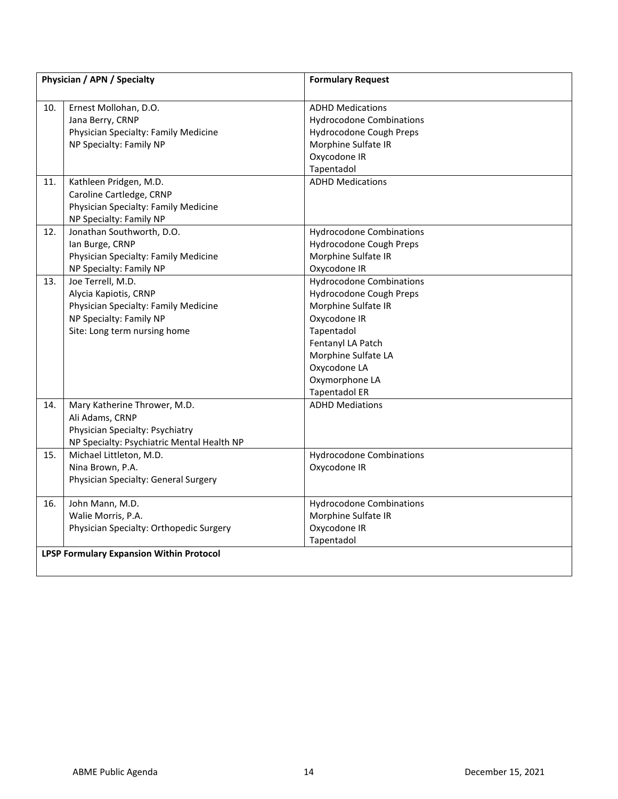| Physician / APN / Specialty |                                                                                                                                               | <b>Formulary Request</b>                                                                                                                                                                                              |
|-----------------------------|-----------------------------------------------------------------------------------------------------------------------------------------------|-----------------------------------------------------------------------------------------------------------------------------------------------------------------------------------------------------------------------|
| 10.                         | Ernest Mollohan, D.O.<br>Jana Berry, CRNP<br>Physician Specialty: Family Medicine<br>NP Specialty: Family NP                                  | <b>ADHD Medications</b><br><b>Hydrocodone Combinations</b><br>Hydrocodone Cough Preps<br>Morphine Sulfate IR<br>Oxycodone IR<br>Tapentadol                                                                            |
| 11.                         | Kathleen Pridgen, M.D.<br>Caroline Cartledge, CRNP<br>Physician Specialty: Family Medicine<br>NP Specialty: Family NP                         | <b>ADHD Medications</b>                                                                                                                                                                                               |
| 12.                         | Jonathan Southworth, D.O.<br>lan Burge, CRNP<br>Physician Specialty: Family Medicine<br>NP Specialty: Family NP                               | <b>Hydrocodone Combinations</b><br>Hydrocodone Cough Preps<br>Morphine Sulfate IR<br>Oxycodone IR                                                                                                                     |
| 13.                         | Joe Terrell, M.D.<br>Alycia Kapiotis, CRNP<br>Physician Specialty: Family Medicine<br>NP Specialty: Family NP<br>Site: Long term nursing home | <b>Hydrocodone Combinations</b><br>Hydrocodone Cough Preps<br>Morphine Sulfate IR<br>Oxycodone IR<br>Tapentadol<br>Fentanyl LA Patch<br>Morphine Sulfate LA<br>Oxycodone LA<br>Oxymorphone LA<br><b>Tapentadol ER</b> |
| 14.                         | Mary Katherine Thrower, M.D.<br>Ali Adams, CRNP<br>Physician Specialty: Psychiatry<br>NP Specialty: Psychiatric Mental Health NP              | <b>ADHD Mediations</b>                                                                                                                                                                                                |
| 15.                         | Michael Littleton, M.D.<br>Nina Brown, P.A.<br>Physician Specialty: General Surgery                                                           | <b>Hydrocodone Combinations</b><br>Oxycodone IR                                                                                                                                                                       |
| 16.                         | John Mann, M.D.<br>Walie Morris, P.A.<br>Physician Specialty: Orthopedic Surgery                                                              | <b>Hydrocodone Combinations</b><br>Morphine Sulfate IR<br>Oxycodone IR<br>Tapentadol                                                                                                                                  |
|                             | <b>LPSP Formulary Expansion Within Protocol</b>                                                                                               |                                                                                                                                                                                                                       |